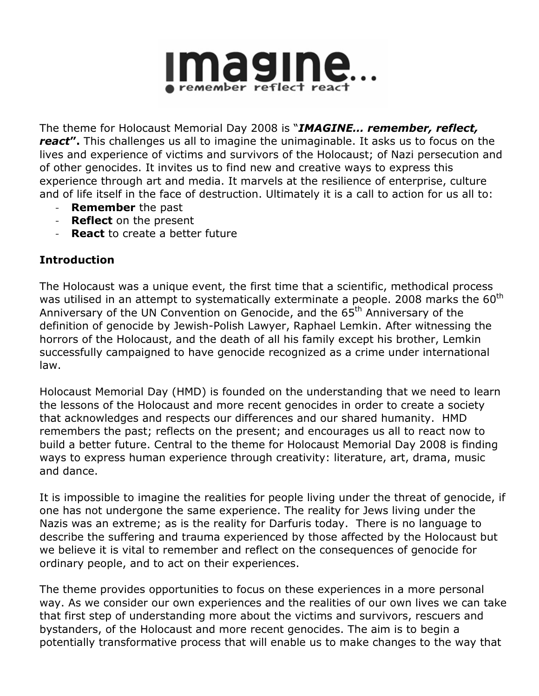

The theme for Holocaust Memorial Day 2008 is "IMAGINE... remember, reflect, react". This challenges us all to imagine the unimaginable. It asks us to focus on the lives and experience of victims and survivors of the Holocaust; of Nazi persecution and of other genocides. It invites us to find new and creative ways to express this experience through art and media. It marvels at the resilience of enterprise, culture and of life itself in the face of destruction. Ultimately it is a call to action for us all to:

- **Remember** the past
- **Reflect** on the present
- **React** to create a better future

# Introduction

The Holocaust was a unique event, the first time that a scientific, methodical process was utilised in an attempt to systematically exterminate a people. 2008 marks the  $60<sup>th</sup>$ Anniversary of the UN Convention on Genocide, and the 65<sup>th</sup> Anniversary of the definition of genocide by Jewish-Polish Lawyer, Raphael Lemkin. After witnessing the horrors of the Holocaust, and the death of all his family except his brother, Lemkin successfully campaigned to have genocide recognized as a crime under international law.

Holocaust Memorial Day (HMD) is founded on the understanding that we need to learn the lessons of the Holocaust and more recent genocides in order to create a society that acknowledges and respects our differences and our shared humanity. HMD remembers the past; reflects on the present; and encourages us all to react now to build a better future. Central to the theme for Holocaust Memorial Day 2008 is finding ways to express human experience through creativity: literature, art, drama, music and dance.

It is impossible to imagine the realities for people living under the threat of genocide, if one has not undergone the same experience. The reality for Jews living under the Nazis was an extreme; as is the reality for Darfuris today. There is no language to describe the suffering and trauma experienced by those affected by the Holocaust but we believe it is vital to remember and reflect on the consequences of genocide for ordinary people, and to act on their experiences.

The theme provides opportunities to focus on these experiences in a more personal way. As we consider our own experiences and the realities of our own lives we can take that first step of understanding more about the victims and survivors, rescuers and bystanders, of the Holocaust and more recent genocides. The aim is to begin a potentially transformative process that will enable us to make changes to the way that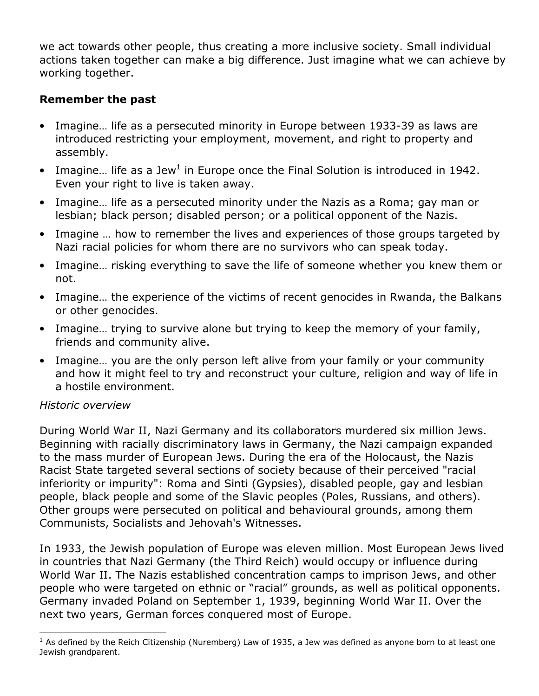we act towards other people, thus creating a more inclusive society. Small individual actions taken together can make a big difference. Just imagine what we can achieve by working together.

## Remember the past

- Imagine… life as a persecuted minority in Europe between 1933-39 as laws are introduced restricting your employment, movement, and right to property and assembly.
- $\bullet$  Imagine... life as a Jew<sup>1</sup> in Europe once the Final Solution is introduced in 1942. Even your right to live is taken away.
- Imagine… life as a persecuted minority under the Nazis as a Roma; gay man or lesbian; black person; disabled person; or a political opponent of the Nazis.
- Imagine … how to remember the lives and experiences of those groups targeted by Nazi racial policies for whom there are no survivors who can speak today.
- Imagine… risking everything to save the life of someone whether you knew them or not.
- Imagine… the experience of the victims of recent genocides in Rwanda, the Balkans or other genocides.
- Imagine… trying to survive alone but trying to keep the memory of your family, friends and community alive.
- Imagine... you are the only person left alive from your family or your community and how it might feel to try and reconstruct your culture, religion and way of life in a hostile environment.

### Historic overview

 $\overline{a}$ 

During World War II, Nazi Germany and its collaborators murdered six million Jews. Beginning with racially discriminatory laws in Germany, the Nazi campaign expanded to the mass murder of European Jews. During the era of the Holocaust, the Nazis Racist State targeted several sections of society because of their perceived "racial inferiority or impurity": Roma and Sinti (Gypsies), disabled people, gay and lesbian people, black people and some of the Slavic peoples (Poles, Russians, and others). Other groups were persecuted on political and behavioural grounds, among them Communists, Socialists and Jehovah's Witnesses.

In 1933, the Jewish population of Europe was eleven million. Most European Jews lived in countries that Nazi Germany (the Third Reich) would occupy or influence during World War II. The Nazis established concentration camps to imprison Jews, and other people who were targeted on ethnic or "racial" grounds, as well as political opponents. Germany invaded Poland on September 1, 1939, beginning World War II. Over the next two years, German forces conquered most of Europe.

 $<sup>1</sup>$  As defined by the Reich Citizenship (Nuremberg) Law of 1935, a Jew was defined as anyone born to at least one</sup> Jewish grandparent.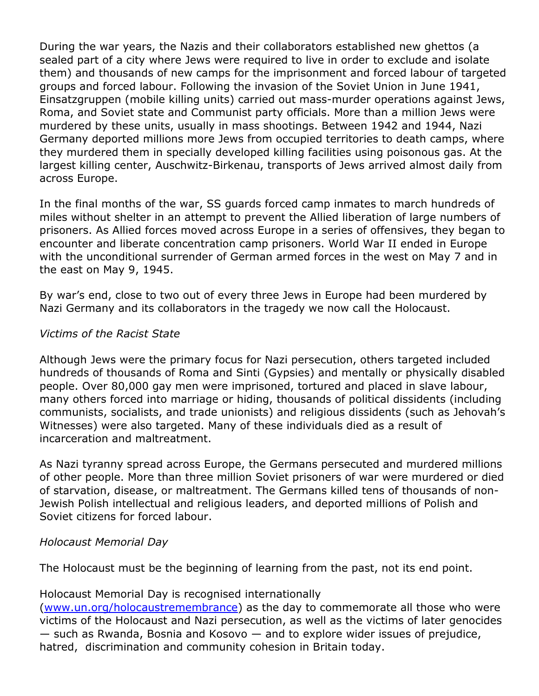During the war years, the Nazis and their collaborators established new ghettos (a sealed part of a city where Jews were required to live in order to exclude and isolate them) and thousands of new camps for the imprisonment and forced labour of targeted groups and forced labour. Following the invasion of the Soviet Union in June 1941, Einsatzgruppen (mobile killing units) carried out mass-murder operations against Jews, Roma, and Soviet state and Communist party officials. More than a million Jews were murdered by these units, usually in mass shootings. Between 1942 and 1944, Nazi Germany deported millions more Jews from occupied territories to death camps, where they murdered them in specially developed killing facilities using poisonous gas. At the largest killing center, Auschwitz-Birkenau, transports of Jews arrived almost daily from across Europe.

In the final months of the war, SS guards forced camp inmates to march hundreds of miles without shelter in an attempt to prevent the Allied liberation of large numbers of prisoners. As Allied forces moved across Europe in a series of offensives, they began to encounter and liberate concentration camp prisoners. World War II ended in Europe with the unconditional surrender of German armed forces in the west on May 7 and in the east on May 9, 1945.

By war's end, close to two out of every three Jews in Europe had been murdered by Nazi Germany and its collaborators in the tragedy we now call the Holocaust.

#### Victims of the Racist State

Although Jews were the primary focus for Nazi persecution, others targeted included hundreds of thousands of Roma and Sinti (Gypsies) and mentally or physically disabled people. Over 80,000 gay men were imprisoned, tortured and placed in slave labour, many others forced into marriage or hiding, thousands of political dissidents (including communists, socialists, and trade unionists) and religious dissidents (such as Jehovah's Witnesses) were also targeted. Many of these individuals died as a result of incarceration and maltreatment.

As Nazi tyranny spread across Europe, the Germans persecuted and murdered millions of other people. More than three million Soviet prisoners of war were murdered or died of starvation, disease, or maltreatment. The Germans killed tens of thousands of non-Jewish Polish intellectual and religious leaders, and deported millions of Polish and Soviet citizens for forced labour.

### Holocaust Memorial Day

The Holocaust must be the beginning of learning from the past, not its end point.

### Holocaust Memorial Day is recognised internationally

(www.un.org/holocaustremembrance) as the day to commemorate all those who were victims of the Holocaust and Nazi persecution, as well as the victims of later genocides  $-$  such as Rwanda, Bosnia and Kosovo  $-$  and to explore wider issues of prejudice, hatred, discrimination and community cohesion in Britain today.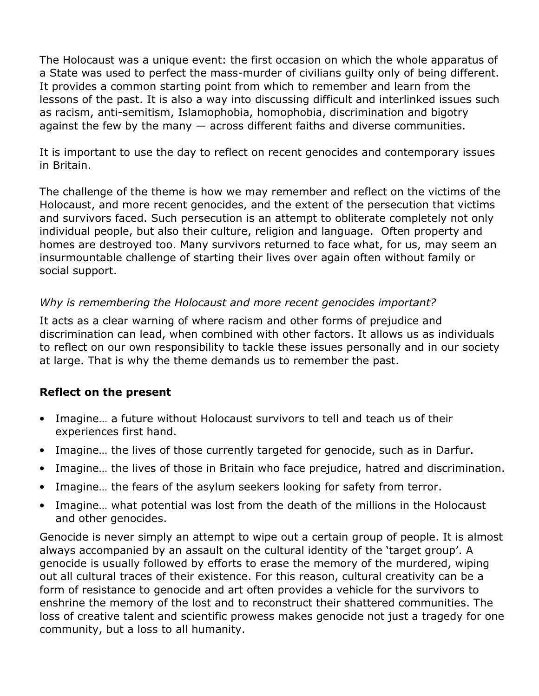The Holocaust was a unique event: the first occasion on which the whole apparatus of a State was used to perfect the mass-murder of civilians guilty only of being different. It provides a common starting point from which to remember and learn from the lessons of the past. It is also a way into discussing difficult and interlinked issues such as racism, anti-semitism, Islamophobia, homophobia, discrimination and bigotry against the few by the many  $-$  across different faiths and diverse communities.

It is important to use the day to reflect on recent genocides and contemporary issues in Britain.

The challenge of the theme is how we may remember and reflect on the victims of the Holocaust, and more recent genocides, and the extent of the persecution that victims and survivors faced. Such persecution is an attempt to obliterate completely not only individual people, but also their culture, religion and language. Often property and homes are destroyed too. Many survivors returned to face what, for us, may seem an insurmountable challenge of starting their lives over again often without family or social support.

### Why is remembering the Holocaust and more recent genocides important?

It acts as a clear warning of where racism and other forms of prejudice and discrimination can lead, when combined with other factors. It allows us as individuals to reflect on our own responsibility to tackle these issues personally and in our society at large. That is why the theme demands us to remember the past.

### Reflect on the present

- Imagine… a future without Holocaust survivors to tell and teach us of their experiences first hand.
- Imagine… the lives of those currently targeted for genocide, such as in Darfur.
- Imagine… the lives of those in Britain who face prejudice, hatred and discrimination.
- Imagine… the fears of the asylum seekers looking for safety from terror.
- Imagine… what potential was lost from the death of the millions in the Holocaust and other genocides.

Genocide is never simply an attempt to wipe out a certain group of people. It is almost always accompanied by an assault on the cultural identity of the 'target group'. A genocide is usually followed by efforts to erase the memory of the murdered, wiping out all cultural traces of their existence. For this reason, cultural creativity can be a form of resistance to genocide and art often provides a vehicle for the survivors to enshrine the memory of the lost and to reconstruct their shattered communities. The loss of creative talent and scientific prowess makes genocide not just a tragedy for one community, but a loss to all humanity.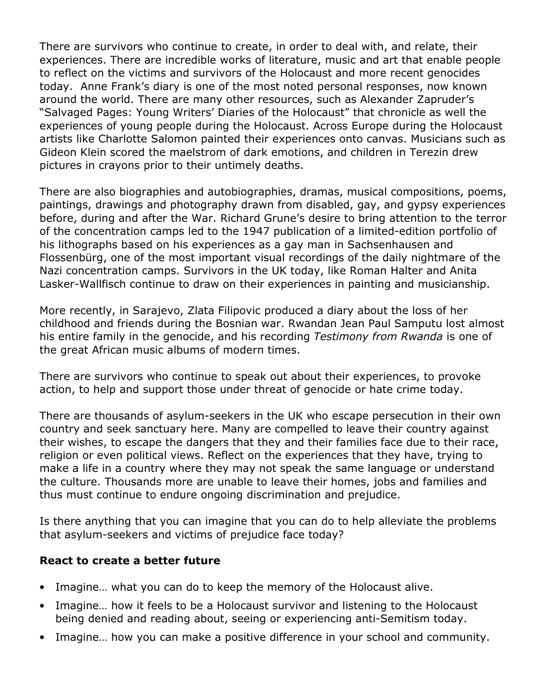There are survivors who continue to create, in order to deal with, and relate, their experiences. There are incredible works of literature, music and art that enable people to reflect on the victims and survivors of the Holocaust and more recent genocides today. Anne Frank's diary is one of the most noted personal responses, now known around the world. There are many other resources, such as Alexander Zapruder's "Salvaged Pages: Young Writers' Diaries of the Holocaust" that chronicle as well the experiences of young people during the Holocaust. Across Europe during the Holocaust artists like Charlotte Salomon painted their experiences onto canvas. Musicians such as Gideon Klein scored the maelstrom of dark emotions, and children in Terezin drew pictures in crayons prior to their untimely deaths.

There are also biographies and autobiographies, dramas, musical compositions, poems, paintings, drawings and photography drawn from disabled, gay, and gypsy experiences before, during and after the War. Richard Grune's desire to bring attention to the terror of the concentration camps led to the 1947 publication of a limited-edition portfolio of his lithographs based on his experiences as a gay man in Sachsenhausen and Flossenbürg, one of the most important visual recordings of the daily nightmare of the Nazi concentration camps. Survivors in the UK today, like Roman Halter and Anita Lasker-Wallfisch continue to draw on their experiences in painting and musicianship.

More recently, in Sarajevo, Zlata Filipovic produced a diary about the loss of her childhood and friends during the Bosnian war. Rwandan Jean Paul Samputu lost almost his entire family in the genocide, and his recording Testimony from Rwanda is one of the great African music albums of modern times.

There are survivors who continue to speak out about their experiences, to provoke action, to help and support those under threat of genocide or hate crime today.

There are thousands of asylum-seekers in the UK who escape persecution in their own country and seek sanctuary here. Many are compelled to leave their country against their wishes, to escape the dangers that they and their families face due to their race, religion or even political views. Reflect on the experiences that they have, trying to make a life in a country where they may not speak the same language or understand the culture. Thousands more are unable to leave their homes, jobs and families and thus must continue to endure ongoing discrimination and prejudice.

Is there anything that you can imagine that you can do to help alleviate the problems that asylum-seekers and victims of prejudice face today?

### React to create a better future

- Imagine… what you can do to keep the memory of the Holocaust alive.
- Imagine… how it feels to be a Holocaust survivor and listening to the Holocaust being denied and reading about, seeing or experiencing anti-Semitism today.
- Imagine... how you can make a positive difference in your school and community.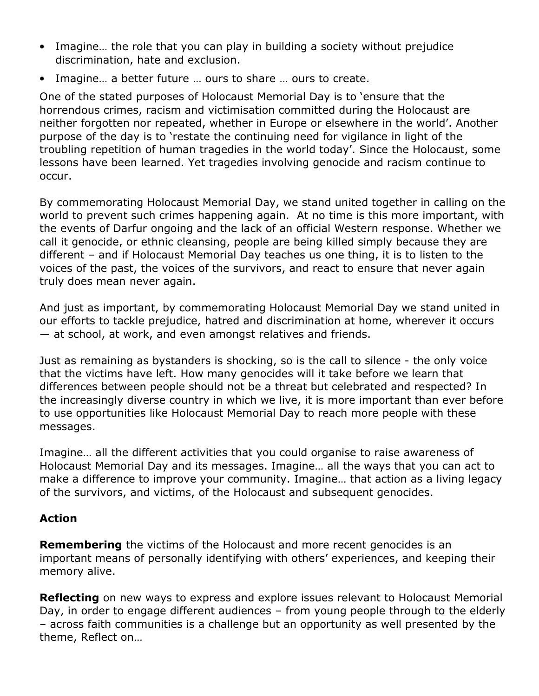- Imagine… the role that you can play in building a society without prejudice discrimination, hate and exclusion.
- Imagine… a better future … ours to share … ours to create.

One of the stated purposes of Holocaust Memorial Day is to 'ensure that the horrendous crimes, racism and victimisation committed during the Holocaust are neither forgotten nor repeated, whether in Europe or elsewhere in the world'. Another purpose of the day is to 'restate the continuing need for vigilance in light of the troubling repetition of human tragedies in the world today'. Since the Holocaust, some lessons have been learned. Yet tragedies involving genocide and racism continue to occur.

By commemorating Holocaust Memorial Day, we stand united together in calling on the world to prevent such crimes happening again. At no time is this more important, with the events of Darfur ongoing and the lack of an official Western response. Whether we call it genocide, or ethnic cleansing, people are being killed simply because they are different – and if Holocaust Memorial Day teaches us one thing, it is to listen to the voices of the past, the voices of the survivors, and react to ensure that never again truly does mean never again.

And just as important, by commemorating Holocaust Memorial Day we stand united in our efforts to tackle prejudice, hatred and discrimination at home, wherever it occurs — at school, at work, and even amongst relatives and friends.

Just as remaining as bystanders is shocking, so is the call to silence - the only voice that the victims have left. How many genocides will it take before we learn that differences between people should not be a threat but celebrated and respected? In the increasingly diverse country in which we live, it is more important than ever before to use opportunities like Holocaust Memorial Day to reach more people with these messages.

Imagine… all the different activities that you could organise to raise awareness of Holocaust Memorial Day and its messages. Imagine… all the ways that you can act to make a difference to improve your community. Imagine… that action as a living legacy of the survivors, and victims, of the Holocaust and subsequent genocides.

## Action

**Remembering** the victims of the Holocaust and more recent genocides is an important means of personally identifying with others' experiences, and keeping their memory alive.

**Reflecting** on new ways to express and explore issues relevant to Holocaust Memorial Day, in order to engage different audiences – from young people through to the elderly – across faith communities is a challenge but an opportunity as well presented by the theme, Reflect on…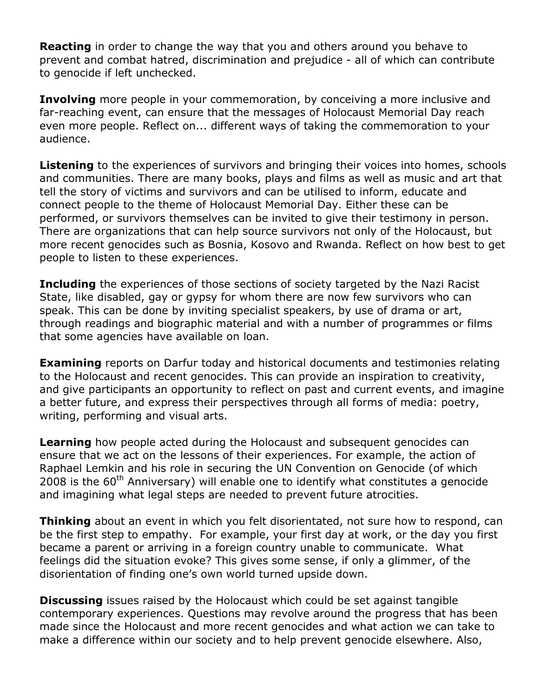**Reacting** in order to change the way that you and others around you behave to prevent and combat hatred, discrimination and prejudice - all of which can contribute to genocide if left unchecked.

**Involving** more people in your commemoration, by conceiving a more inclusive and far-reaching event, can ensure that the messages of Holocaust Memorial Day reach even more people. Reflect on... different ways of taking the commemoration to your audience.

**Listening** to the experiences of survivors and bringing their voices into homes, schools and communities. There are many books, plays and films as well as music and art that tell the story of victims and survivors and can be utilised to inform, educate and connect people to the theme of Holocaust Memorial Day. Either these can be performed, or survivors themselves can be invited to give their testimony in person. There are organizations that can help source survivors not only of the Holocaust, but more recent genocides such as Bosnia, Kosovo and Rwanda. Reflect on how best to get people to listen to these experiences.

**Including** the experiences of those sections of society targeted by the Nazi Racist State, like disabled, gay or gypsy for whom there are now few survivors who can speak. This can be done by inviting specialist speakers, by use of drama or art, through readings and biographic material and with a number of programmes or films that some agencies have available on loan.

**Examining** reports on Darfur today and historical documents and testimonies relating to the Holocaust and recent genocides. This can provide an inspiration to creativity, and give participants an opportunity to reflect on past and current events, and imagine a better future, and express their perspectives through all forms of media: poetry, writing, performing and visual arts.

**Learning** how people acted during the Holocaust and subsequent genocides can ensure that we act on the lessons of their experiences. For example, the action of Raphael Lemkin and his role in securing the UN Convention on Genocide (of which 2008 is the  $60<sup>th</sup>$  Anniversary) will enable one to identify what constitutes a genocide and imagining what legal steps are needed to prevent future atrocities.

**Thinking** about an event in which you felt disorientated, not sure how to respond, can be the first step to empathy. For example, your first day at work, or the day you first became a parent or arriving in a foreign country unable to communicate. What feelings did the situation evoke? This gives some sense, if only a glimmer, of the disorientation of finding one's own world turned upside down.

**Discussing** issues raised by the Holocaust which could be set against tangible contemporary experiences. Questions may revolve around the progress that has been made since the Holocaust and more recent genocides and what action we can take to make a difference within our society and to help prevent genocide elsewhere. Also,